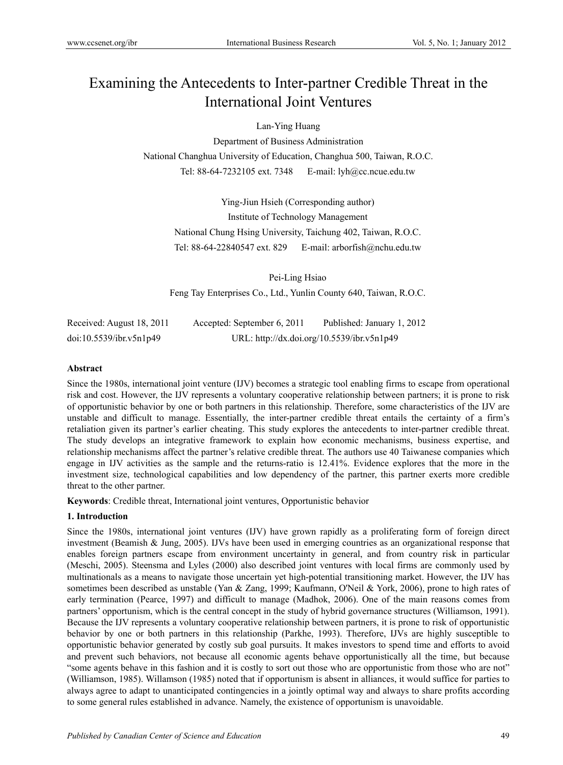# Examining the Antecedents to Inter-partner Credible Threat in the International Joint Ventures

Lan-Ying Huang

Department of Business Administration National Changhua University of Education, Changhua 500, Taiwan, R.O.C. Tel: 88-64-7232105 ext. 7348 E-mail: lyh@cc.ncue.edu.tw

> Ying-Jiun Hsieh (Corresponding author) Institute of Technology Management National Chung Hsing University, Taichung 402, Taiwan, R.O.C. Tel: 88-64-22840547 ext. 829 E-mail: arborfish@nchu.edu.tw

Pei-Ling Hsiao Feng Tay Enterprises Co., Ltd., Yunlin County 640, Taiwan, R.O.C.

| Received: August 18, 2011 | Accepted: September 6, 2011 | Published: January 1, 2012                 |
|---------------------------|-----------------------------|--------------------------------------------|
| doi:10.5539/ibr.v5n1p49   |                             | URL: http://dx.doi.org/10.5539/ibr.v5n1p49 |

## **Abstract**

Since the 1980s, international joint venture (IJV) becomes a strategic tool enabling firms to escape from operational risk and cost. However, the IJV represents a voluntary cooperative relationship between partners; it is prone to risk of opportunistic behavior by one or both partners in this relationship. Therefore, some characteristics of the IJV are unstable and difficult to manage. Essentially, the inter-partner credible threat entails the certainty of a firm's retaliation given its partner's earlier cheating. This study explores the antecedents to inter-partner credible threat. The study develops an integrative framework to explain how economic mechanisms, business expertise, and relationship mechanisms affect the partner's relative credible threat. The authors use 40 Taiwanese companies which engage in IJV activities as the sample and the returns-ratio is 12.41%. Evidence explores that the more in the investment size, technological capabilities and low dependency of the partner, this partner exerts more credible threat to the other partner.

**Keywords**: Credible threat, International joint ventures, Opportunistic behavior

## **1. Introduction**

Since the 1980s, international joint ventures (IJV) have grown rapidly as a proliferating form of foreign direct investment (Beamish & Jung, 2005). IJVs have been used in emerging countries as an organizational response that enables foreign partners escape from environment uncertainty in general, and from country risk in particular (Meschi, 2005). Steensma and Lyles (2000) also described joint ventures with local firms are commonly used by multinationals as a means to navigate those uncertain yet high-potential transitioning market. However, the IJV has sometimes been described as unstable (Yan & Zang, 1999; Kaufmann, O'Neil & York, 2006), prone to high rates of early termination (Pearce, 1997) and difficult to manage (Madhok, 2006). One of the main reasons comes from partners' opportunism, which is the central concept in the study of hybrid governance structures (Williamson, 1991). Because the IJV represents a voluntary cooperative relationship between partners, it is prone to risk of opportunistic behavior by one or both partners in this relationship (Parkhe, 1993). Therefore, IJVs are highly susceptible to opportunistic behavior generated by costly sub goal pursuits. It makes investors to spend time and efforts to avoid and prevent such behaviors, not because all economic agents behave opportunistically all the time, but because "some agents behave in this fashion and it is costly to sort out those who are opportunistic from those who are not" (Williamson, 1985). Willamson (1985) noted that if opportunism is absent in alliances, it would suffice for parties to always agree to adapt to unanticipated contingencies in a jointly optimal way and always to share profits according to some general rules established in advance. Namely, the existence of opportunism is unavoidable.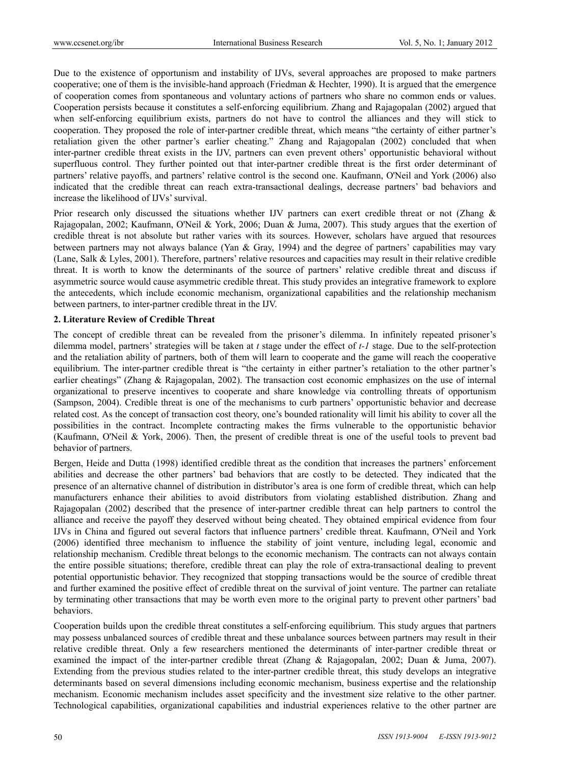Due to the existence of opportunism and instability of IJVs, several approaches are proposed to make partners cooperative; one of them is the invisible-hand approach (Friedman & Hechter, 1990). It is argued that the emergence of cooperation comes from spontaneous and voluntary actions of partners who share no common ends or values. Cooperation persists because it constitutes a self-enforcing equilibrium. Zhang and Rajagopalan (2002) argued that when self-enforcing equilibrium exists, partners do not have to control the alliances and they will stick to cooperation. They proposed the role of inter-partner credible threat, which means "the certainty of either partner's retaliation given the other partner's earlier cheating." Zhang and Rajagopalan (2002) concluded that when inter-partner credible threat exists in the IJV, partners can even prevent others' opportunistic behavioral without superfluous control. They further pointed out that inter-partner credible threat is the first order determinant of partners' relative payoffs, and partners' relative control is the second one. Kaufmann, O'Neil and York (2006) also indicated that the credible threat can reach extra-transactional dealings, decrease partners' bad behaviors and increase the likelihood of IJVs' survival.

Prior research only discussed the situations whether IJV partners can exert credible threat or not (Zhang & Rajagopalan, 2002; Kaufmann, O'Neil & York, 2006; Duan & Juma, 2007). This study argues that the exertion of credible threat is not absolute but rather varies with its sources. However, scholars have argued that resources between partners may not always balance (Yan & Gray, 1994) and the degree of partners' capabilities may vary (Lane, Salk & Lyles, 2001). Therefore, partners' relative resources and capacities may result in their relative credible threat. It is worth to know the determinants of the source of partners' relative credible threat and discuss if asymmetric source would cause asymmetric credible threat. This study provides an integrative framework to explore the antecedents, which include economic mechanism, organizational capabilities and the relationship mechanism between partners, to inter-partner credible threat in the IJV.

## **2. Literature Review of Credible Threat**

The concept of credible threat can be revealed from the prisoner's dilemma. In infinitely repeated prisoner's dilemma model, partners' strategies will be taken at *t* stage under the effect of *t-1* stage. Due to the self-protection and the retaliation ability of partners, both of them will learn to cooperate and the game will reach the cooperative equilibrium. The inter-partner credible threat is "the certainty in either partner's retaliation to the other partner's earlier cheatings" (Zhang & Rajagopalan, 2002). The transaction cost economic emphasizes on the use of internal organizational to preserve incentives to cooperate and share knowledge via controlling threats of opportunism (Sampson, 2004). Credible threat is one of the mechanisms to curb partners' opportunistic behavior and decrease related cost. As the concept of transaction cost theory, one's bounded rationality will limit his ability to cover all the possibilities in the contract. Incomplete contracting makes the firms vulnerable to the opportunistic behavior (Kaufmann, O'Neil & York, 2006). Then, the present of credible threat is one of the useful tools to prevent bad behavior of partners.

Bergen, Heide and Dutta (1998) identified credible threat as the condition that increases the partners' enforcement abilities and decrease the other partners' bad behaviors that are costly to be detected. They indicated that the presence of an alternative channel of distribution in distributor's area is one form of credible threat, which can help manufacturers enhance their abilities to avoid distributors from violating established distribution. Zhang and Rajagopalan (2002) described that the presence of inter-partner credible threat can help partners to control the alliance and receive the payoff they deserved without being cheated. They obtained empirical evidence from four IJVs in China and figured out several factors that influence partners' credible threat. Kaufmann, O'Neil and York (2006) identified three mechanism to influence the stability of joint venture, including legal, economic and relationship mechanism. Credible threat belongs to the economic mechanism. The contracts can not always contain the entire possible situations; therefore, credible threat can play the role of extra-transactional dealing to prevent potential opportunistic behavior. They recognized that stopping transactions would be the source of credible threat and further examined the positive effect of credible threat on the survival of joint venture. The partner can retaliate by terminating other transactions that may be worth even more to the original party to prevent other partners' bad behaviors.

Cooperation builds upon the credible threat constitutes a self-enforcing equilibrium. This study argues that partners may possess unbalanced sources of credible threat and these unbalance sources between partners may result in their relative credible threat. Only a few researchers mentioned the determinants of inter-partner credible threat or examined the impact of the inter-partner credible threat (Zhang & Rajagopalan, 2002; Duan & Juma, 2007). Extending from the previous studies related to the inter-partner credible threat, this study develops an integrative determinants based on several dimensions including economic mechanism, business expertise and the relationship mechanism. Economic mechanism includes asset specificity and the investment size relative to the other partner. Technological capabilities, organizational capabilities and industrial experiences relative to the other partner are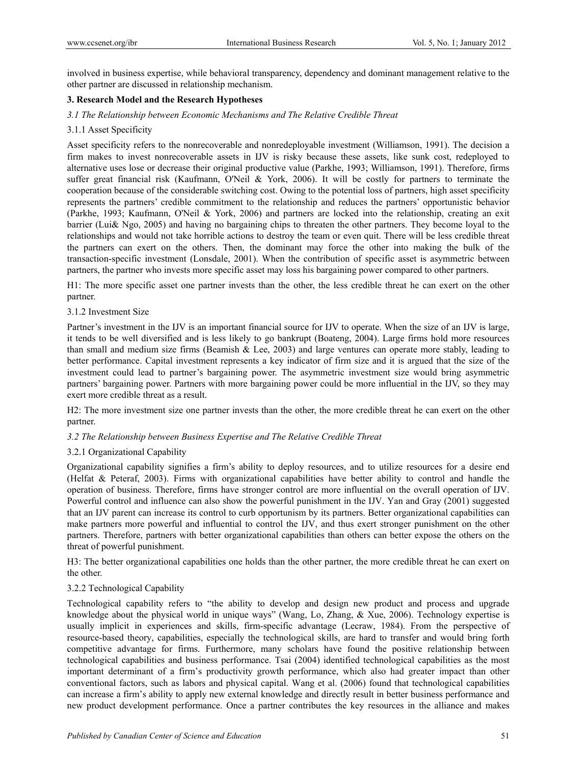involved in business expertise, while behavioral transparency, dependency and dominant management relative to the other partner are discussed in relationship mechanism.

## **3. Research Model and the Research Hypotheses**

## *3.1 The Relationship between Economic Mechanisms and The Relative Credible Threat*

## 3.1.1 Asset Specificity

Asset specificity refers to the nonrecoverable and nonredeployable investment (Williamson, 1991). The decision a firm makes to invest nonrecoverable assets in IJV is risky because these assets, like sunk cost, redeployed to alternative uses lose or decrease their original productive value (Parkhe, 1993; Williamson, 1991). Therefore, firms suffer great financial risk (Kaufmann, O'Neil & York, 2006). It will be costly for partners to terminate the cooperation because of the considerable switching cost. Owing to the potential loss of partners, high asset specificity represents the partners' credible commitment to the relationship and reduces the partners' opportunistic behavior (Parkhe, 1993; Kaufmann, O'Neil & York, 2006) and partners are locked into the relationship, creating an exit barrier (Lui& Ngo, 2005) and having no bargaining chips to threaten the other partners. They become loyal to the relationships and would not take horrible actions to destroy the team or even quit. There will be less credible threat the partners can exert on the others. Then, the dominant may force the other into making the bulk of the transaction-specific investment (Lonsdale, 2001). When the contribution of specific asset is asymmetric between partners, the partner who invests more specific asset may loss his bargaining power compared to other partners.

H1: The more specific asset one partner invests than the other, the less credible threat he can exert on the other partner.

## 3.1.2 Investment Size

Partner's investment in the IJV is an important financial source for IJV to operate. When the size of an IJV is large, it tends to be well diversified and is less likely to go bankrupt (Boateng, 2004). Large firms hold more resources than small and medium size firms (Beamish & Lee, 2003) and large ventures can operate more stably, leading to better performance. Capital investment represents a key indicator of firm size and it is argued that the size of the investment could lead to partner's bargaining power. The asymmetric investment size would bring asymmetric partners' bargaining power. Partners with more bargaining power could be more influential in the IJV, so they may exert more credible threat as a result.

H2: The more investment size one partner invests than the other, the more credible threat he can exert on the other partner.

## *3.2 The Relationship between Business Expertise and The Relative Credible Threat*

## 3.2.1 Organizational Capability

Organizational capability signifies a firm's ability to deploy resources, and to utilize resources for a desire end (Helfat & Peteraf, 2003). Firms with organizational capabilities have better ability to control and handle the operation of business. Therefore, firms have stronger control are more influential on the overall operation of IJV. Powerful control and influence can also show the powerful punishment in the IJV. Yan and Gray (2001) suggested that an IJV parent can increase its control to curb opportunism by its partners. Better organizational capabilities can make partners more powerful and influential to control the IJV, and thus exert stronger punishment on the other partners. Therefore, partners with better organizational capabilities than others can better expose the others on the threat of powerful punishment.

H3: The better organizational capabilities one holds than the other partner, the more credible threat he can exert on the other.

## 3.2.2 Technological Capability

Technological capability refers to "the ability to develop and design new product and process and upgrade knowledge about the physical world in unique ways" (Wang, Lo, Zhang, & Xue, 2006). Technology expertise is usually implicit in experiences and skills, firm-specific advantage (Lecraw, 1984). From the perspective of resource-based theory, capabilities, especially the technological skills, are hard to transfer and would bring forth competitive advantage for firms. Furthermore, many scholars have found the positive relationship between technological capabilities and business performance. Tsai (2004) identified technological capabilities as the most important determinant of a firm's productivity growth performance, which also had greater impact than other conventional factors, such as labors and physical capital. Wang et al. (2006) found that technological capabilities can increase a firm's ability to apply new external knowledge and directly result in better business performance and new product development performance. Once a partner contributes the key resources in the alliance and makes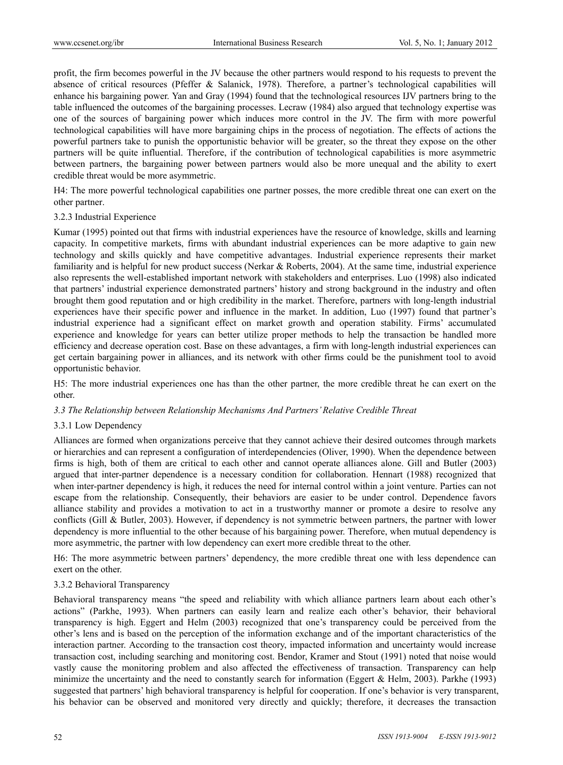profit, the firm becomes powerful in the JV because the other partners would respond to his requests to prevent the absence of critical resources (Pfeffer & Salanick, 1978). Therefore, a partner's technological capabilities will enhance his bargaining power. Yan and Gray (1994) found that the technological resources IJV partners bring to the table influenced the outcomes of the bargaining processes. Lecraw (1984) also argued that technology expertise was one of the sources of bargaining power which induces more control in the JV. The firm with more powerful technological capabilities will have more bargaining chips in the process of negotiation. The effects of actions the powerful partners take to punish the opportunistic behavior will be greater, so the threat they expose on the other partners will be quite influential. Therefore, if the contribution of technological capabilities is more asymmetric between partners, the bargaining power between partners would also be more unequal and the ability to exert credible threat would be more asymmetric.

H4: The more powerful technological capabilities one partner posses, the more credible threat one can exert on the other partner.

#### 3.2.3 Industrial Experience

Kumar (1995) pointed out that firms with industrial experiences have the resource of knowledge, skills and learning capacity. In competitive markets, firms with abundant industrial experiences can be more adaptive to gain new technology and skills quickly and have competitive advantages. Industrial experience represents their market familiarity and is helpful for new product success (Nerkar & Roberts, 2004). At the same time, industrial experience also represents the well-established important network with stakeholders and enterprises. Luo (1998) also indicated that partners' industrial experience demonstrated partners' history and strong background in the industry and often brought them good reputation and or high credibility in the market. Therefore, partners with long-length industrial experiences have their specific power and influence in the market. In addition, Luo (1997) found that partner's industrial experience had a significant effect on market growth and operation stability. Firms' accumulated experience and knowledge for years can better utilize proper methods to help the transaction be handled more efficiency and decrease operation cost. Base on these advantages, a firm with long-length industrial experiences can get certain bargaining power in alliances, and its network with other firms could be the punishment tool to avoid opportunistic behavior.

H5: The more industrial experiences one has than the other partner, the more credible threat he can exert on the other.

#### *3.3 The Relationship between Relationship Mechanisms And Partners' Relative Credible Threat*

#### 3.3.1 Low Dependency

Alliances are formed when organizations perceive that they cannot achieve their desired outcomes through markets or hierarchies and can represent a configuration of interdependencies (Oliver, 1990). When the dependence between firms is high, both of them are critical to each other and cannot operate alliances alone. Gill and Butler (2003) argued that inter-partner dependence is a necessary condition for collaboration. Hennart (1988) recognized that when inter-partner dependency is high, it reduces the need for internal control within a joint venture. Parties can not escape from the relationship. Consequently, their behaviors are easier to be under control. Dependence favors alliance stability and provides a motivation to act in a trustworthy manner or promote a desire to resolve any conflicts (Gill & Butler, 2003). However, if dependency is not symmetric between partners, the partner with lower dependency is more influential to the other because of his bargaining power. Therefore, when mutual dependency is more asymmetric, the partner with low dependency can exert more credible threat to the other.

H6: The more asymmetric between partners' dependency, the more credible threat one with less dependence can exert on the other.

#### 3.3.2 Behavioral Transparency

Behavioral transparency means "the speed and reliability with which alliance partners learn about each other's actions" (Parkhe, 1993). When partners can easily learn and realize each other's behavior, their behavioral transparency is high. Eggert and Helm (2003) recognized that one's transparency could be perceived from the other's lens and is based on the perception of the information exchange and of the important characteristics of the interaction partner. According to the transaction cost theory, impacted information and uncertainty would increase transaction cost, including searching and monitoring cost. Bendor, Kramer and Stout (1991) noted that noise would vastly cause the monitoring problem and also affected the effectiveness of transaction. Transparency can help minimize the uncertainty and the need to constantly search for information (Eggert & Helm, 2003). Parkhe (1993) suggested that partners' high behavioral transparency is helpful for cooperation. If one's behavior is very transparent, his behavior can be observed and monitored very directly and quickly; therefore, it decreases the transaction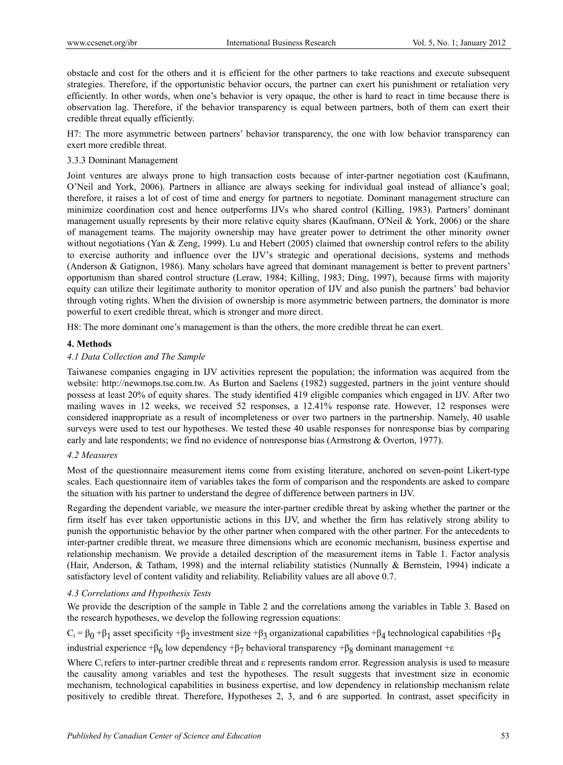obstacle and cost for the others and it is efficient for the other partners to take reactions and execute subsequent strategies. Therefore, if the opportunistic behavior occurs, the partner can exert his punishment or retaliation very efficiently. In other words, when one's behavior is very opaque, the other is hard to react in time because there is observation lag. Therefore, if the behavior transparency is equal between partners, both of them can exert their credible threat equally efficiently.

H7: The more asymmetric between partners' behavior transparency, the one with low behavior transparency can exert more credible threat.

## 3.3.3 Dominant Management

Joint ventures are always prone to high transaction costs because of inter-partner negotiation cost (Kaufmann, O'Neil and York, 2006). Partners in alliance are always seeking for individual goal instead of alliance's goal; therefore, it raises a lot of cost of time and energy for partners to negotiate. Dominant management structure can minimize coordination cost and hence outperforms IJVs who shared control (Killing, 1983). Partners' dominant management usually represents by their more relative equity shares (Kaufmann, O'Neil & York, 2006) or the share of management teams. The majority ownership may have greater power to detriment the other minority owner without negotiations (Yan & Zeng, 1999). Lu and Hebert (2005) claimed that ownership control refers to the ability to exercise authority and influence over the IJV's strategic and operational decisions, systems and methods (Anderson & Gatignon, 1986). Many scholars have agreed that dominant management is better to prevent partners' opportunism than shared control structure (Leraw, 1984; Killing, 1983; Ding, 1997), because firms with majority equity can utilize their legitimate authority to monitor operation of IJV and also punish the partners' bad behavior through voting rights. When the division of ownership is more asymmetric between partners, the dominator is more powerful to exert credible threat, which is stronger and more direct.

H8: The more dominant one's management is than the others, the more credible threat he can exert.

## **4. Methods**

## *4.1 Data Collection and The Sample*

Taiwanese companies engaging in IJV activities represent the population; the information was acquired from the website: http://newmops.tse.com.tw. As Burton and Saelens (1982) suggested, partners in the joint venture should possess at least 20% of equity shares. The study identified 419 eligible companies which engaged in IJV. After two mailing waves in 12 weeks, we received 52 responses, a 12.41% response rate. However, 12 responses were considered inappropriate as a result of incompleteness or over two partners in the partnership. Namely, 40 usable surveys were used to test our hypotheses. We tested these 40 usable responses for nonresponse bias by comparing early and late respondents; we find no evidence of nonresponse bias (Armstrong & Overton, 1977).

## *4.2 Measures*

Most of the questionnaire measurement items come from existing literature, anchored on seven-point Likert-type scales. Each questionnaire item of variables takes the form of comparison and the respondents are asked to compare the situation with his partner to understand the degree of difference between partners in IJV.

Regarding the dependent variable, we measure the inter-partner credible threat by asking whether the partner or the firm itself has ever taken opportunistic actions in this IJV, and whether the firm has relatively strong ability to punish the opportunistic behavior by the other partner when compared with the other partner. For the antecedents to inter-partner credible threat, we measure three dimensions which are economic mechanism, business expertise and relationship mechanism. We provide a detailed description of the measurement items in Table 1. Factor analysis (Hair, Anderson, & Tatham, 1998) and the internal reliability statistics (Nunnally & Bernstein, 1994) indicate a satisfactory level of content validity and reliability. Reliability values are all above 0.7.

## *4.3 Correlations and Hypothesis Tests*

We provide the description of the sample in Table 2 and the correlations among the variables in Table 3. Based on the research hypotheses, we develop the following regression equations:

 $C_i = \beta_0 + \beta_1$  asset specificity  $+\beta_2$  investment size  $+\beta_3$  organizational capabilities  $+\beta_4$  technological capabilities  $+\beta_5$ 

industrial experience +β<sub>6</sub> low dependency +β<sub>7</sub> behavioral transparency +β<sub>8</sub> dominant management +ε

Where Ci refers to inter-partner credible threat and ε represents random error. Regression analysis is used to measure the causality among variables and test the hypotheses. The result suggests that investment size in economic mechanism, technological capabilities in business expertise, and low dependency in relationship mechanism relate positively to credible threat. Therefore, Hypotheses 2, 3, and 6 are supported. In contrast, asset specificity in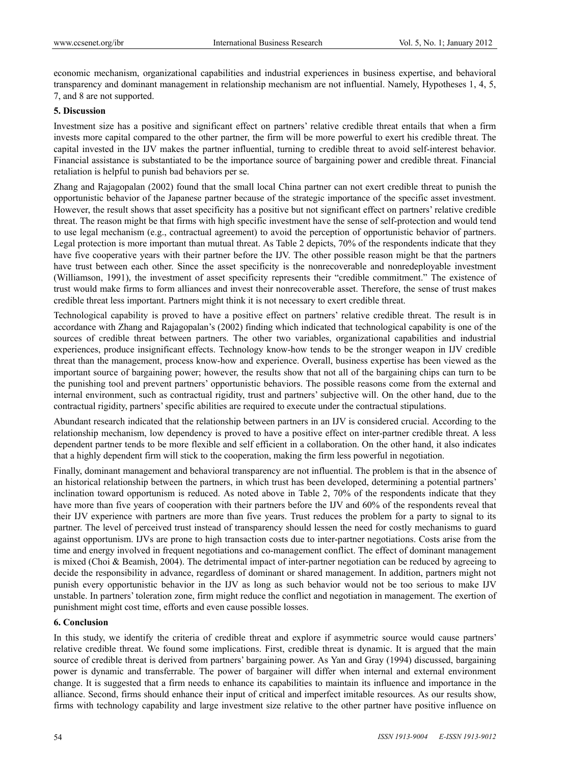economic mechanism, organizational capabilities and industrial experiences in business expertise, and behavioral transparency and dominant management in relationship mechanism are not influential. Namely, Hypotheses 1, 4, 5, 7, and 8 are not supported.

## **5. Discussion**

Investment size has a positive and significant effect on partners' relative credible threat entails that when a firm invests more capital compared to the other partner, the firm will be more powerful to exert his credible threat. The capital invested in the IJV makes the partner influential, turning to credible threat to avoid self-interest behavior. Financial assistance is substantiated to be the importance source of bargaining power and credible threat. Financial retaliation is helpful to punish bad behaviors per se.

Zhang and Rajagopalan (2002) found that the small local China partner can not exert credible threat to punish the opportunistic behavior of the Japanese partner because of the strategic importance of the specific asset investment. However, the result shows that asset specificity has a positive but not significant effect on partners' relative credible threat. The reason might be that firms with high specific investment have the sense of self-protection and would tend to use legal mechanism (e.g., contractual agreement) to avoid the perception of opportunistic behavior of partners. Legal protection is more important than mutual threat. As Table 2 depicts, 70% of the respondents indicate that they have five cooperative years with their partner before the IJV. The other possible reason might be that the partners have trust between each other. Since the asset specificity is the nonrecoverable and nonredeployable investment (Williamson, 1991), the investment of asset specificity represents their "credible commitment." The existence of trust would make firms to form alliances and invest their nonrecoverable asset. Therefore, the sense of trust makes credible threat less important. Partners might think it is not necessary to exert credible threat.

Technological capability is proved to have a positive effect on partners' relative credible threat. The result is in accordance with Zhang and Rajagopalan's (2002) finding which indicated that technological capability is one of the sources of credible threat between partners. The other two variables, organizational capabilities and industrial experiences, produce insignificant effects. Technology know-how tends to be the stronger weapon in IJV credible threat than the management, process know-how and experience. Overall, business expertise has been viewed as the important source of bargaining power; however, the results show that not all of the bargaining chips can turn to be the punishing tool and prevent partners' opportunistic behaviors. The possible reasons come from the external and internal environment, such as contractual rigidity, trust and partners' subjective will. On the other hand, due to the contractual rigidity, partners' specific abilities are required to execute under the contractual stipulations.

Abundant research indicated that the relationship between partners in an IJV is considered crucial. According to the relationship mechanism, low dependency is proved to have a positive effect on inter-partner credible threat. A less dependent partner tends to be more flexible and self efficient in a collaboration. On the other hand, it also indicates that a highly dependent firm will stick to the cooperation, making the firm less powerful in negotiation.

Finally, dominant management and behavioral transparency are not influential. The problem is that in the absence of an historical relationship between the partners, in which trust has been developed, determining a potential partners' inclination toward opportunism is reduced. As noted above in Table 2, 70% of the respondents indicate that they have more than five years of cooperation with their partners before the IJV and 60% of the respondents reveal that their IJV experience with partners are more than five years. Trust reduces the problem for a party to signal to its partner. The level of perceived trust instead of transparency should lessen the need for costly mechanisms to guard against opportunism. IJVs are prone to high transaction costs due to inter-partner negotiations. Costs arise from the time and energy involved in frequent negotiations and co-management conflict. The effect of dominant management is mixed (Choi & Beamish, 2004). The detrimental impact of inter-partner negotiation can be reduced by agreeing to decide the responsibility in advance, regardless of dominant or shared management. In addition, partners might not punish every opportunistic behavior in the IJV as long as such behavior would not be too serious to make IJV unstable. In partners' toleration zone, firm might reduce the conflict and negotiation in management. The exertion of punishment might cost time, efforts and even cause possible losses.

## **6. Conclusion**

In this study, we identify the criteria of credible threat and explore if asymmetric source would cause partners' relative credible threat. We found some implications. First, credible threat is dynamic. It is argued that the main source of credible threat is derived from partners' bargaining power. As Yan and Gray (1994) discussed, bargaining power is dynamic and transferrable. The power of bargainer will differ when internal and external environment change. It is suggested that a firm needs to enhance its capabilities to maintain its influence and importance in the alliance. Second, firms should enhance their input of critical and imperfect imitable resources. As our results show, firms with technology capability and large investment size relative to the other partner have positive influence on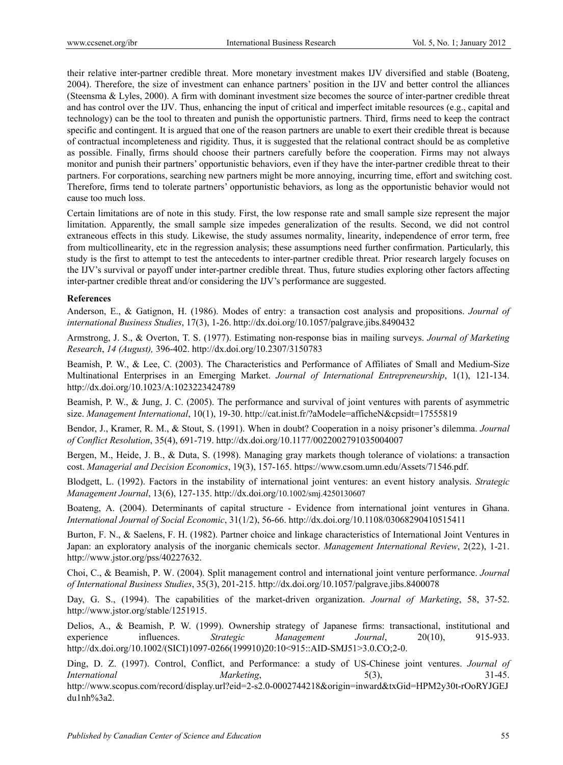their relative inter-partner credible threat. More monetary investment makes IJV diversified and stable (Boateng, 2004). Therefore, the size of investment can enhance partners' position in the IJV and better control the alliances (Steensma & Lyles, 2000). A firm with dominant investment size becomes the source of inter-partner credible threat and has control over the IJV. Thus, enhancing the input of critical and imperfect imitable resources (e.g., capital and technology) can be the tool to threaten and punish the opportunistic partners. Third, firms need to keep the contract specific and contingent. It is argued that one of the reason partners are unable to exert their credible threat is because of contractual incompleteness and rigidity. Thus, it is suggested that the relational contract should be as completive as possible. Finally, firms should choose their partners carefully before the cooperation. Firms may not always monitor and punish their partners' opportunistic behaviors, even if they have the inter-partner credible threat to their partners. For corporations, searching new partners might be more annoying, incurring time, effort and switching cost. Therefore, firms tend to tolerate partners' opportunistic behaviors, as long as the opportunistic behavior would not cause too much loss.

Certain limitations are of note in this study. First, the low response rate and small sample size represent the major limitation. Apparently, the small sample size impedes generalization of the results. Second, we did not control extraneous effects in this study. Likewise, the study assumes normality, linearity, independence of error term, free from multicollinearity, etc in the regression analysis; these assumptions need further confirmation. Particularly, this study is the first to attempt to test the antecedents to inter-partner credible threat. Prior research largely focuses on the IJV's survival or payoff under inter-partner credible threat. Thus, future studies exploring other factors affecting inter-partner credible threat and/or considering the IJV's performance are suggested.

## **References**

Anderson, E., & Gatignon, H. (1986). Modes of entry: a transaction cost analysis and propositions. *Journal of international Business Studies*, 17(3), 1-26. http://dx.doi.org/10.1057/palgrave.jibs.8490432

Armstrong, J. S., & Overton, T. S. (1977). Estimating non-response bias in mailing surveys. *Journal of Marketing Research*, *14 (August),* 396-402. http://dx.doi.org/10.2307/3150783

Beamish, P. W., & Lee, C. (2003). The Characteristics and Performance of Affiliates of Small and Medium-Size Multinational Enterprises in an Emerging Market. *Journal of International Entrepreneurship*, 1(1), 121-134. http://dx.doi.org/10.1023/A:1023223424789

Beamish, P. W., & Jung, J. C. (2005). The performance and survival of joint ventures with parents of asymmetric size. *Management International*, 10(1), 19-30. http://cat.inist.fr/?aModele=afficheN&cpsidt=17555819

Bendor, J., Kramer, R. M., & Stout, S. (1991). When in doubt? Cooperation in a noisy prisoner's dilemma. *Journal of Conflict Resolution*, 35(4), 691-719. http://dx.doi.org/10.1177/0022002791035004007

Bergen, M., Heide, J. B., & Duta, S. (1998). Managing gray markets though tolerance of violations: a transaction cost. *Managerial and Decision Economics*, 19(3), 157-165. https://www.csom.umn.edu/Assets/71546.pdf.

Blodgett, L. (1992). Factors in the instability of international joint ventures: an event history analysis. *Strategic Management Journal*, 13(6), 127-135. http://dx.doi.org/10.1002/smj.4250130607

Boateng, A. (2004). Determinants of capital structure - Evidence from international joint ventures in Ghana. *International Journal of Social Economic*, 31(1/2), 56-66. http://dx.doi.org/10.1108/03068290410515411

Burton, F. N., & Saelens, F. H. (1982). Partner choice and linkage characteristics of International Joint Ventures in Japan: an exploratory analysis of the inorganic chemicals sector. *Management International Review*, 2(22), 1-21. http://www.jstor.org/pss/40227632.

Choi, C., & Beamish, P. W. (2004). Split management control and international joint venture performance. *Journal of International Business Studies*, 35(3), 201-215. http://dx.doi.org/10.1057/palgrave.jibs.8400078

Day, G. S., (1994). The capabilities of the market-driven organization. *Journal of Marketing*, 58, 37-52. http://www.jstor.org/stable/1251915.

Delios, A., & Beamish, P. W. (1999). Ownership strategy of Japanese firms: transactional, institutional and experience influences. *Strategic Management Journal*, 20(10), 915-933. http://dx.doi.org/10.1002/(SICI)1097-0266(199910)20:10<915::AID-SMJ51>3.0.CO;2-0.

Ding, D. Z. (1997). Control, Conflict, and Performance: a study of US-Chinese joint ventures. *Journal of International Marketing*, 5(3), 31-45. http://www.scopus.com/record/display.url?eid=2-s2.0-0002744218&origin=inward&txGid=HPM2y30t-rOoRYJGEJ du1nh%3a2.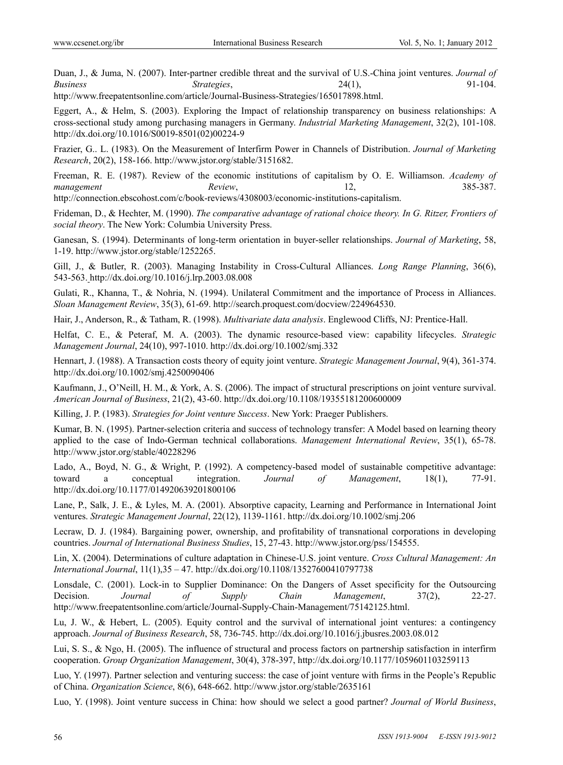Duan, J., & Juma, N. (2007). Inter-partner credible threat and the survival of U.S.-China joint ventures. *Journal of Business Strategies*, 24(1), 91-104.

http://www.freepatentsonline.com/article/Journal-Business-Strategies/165017898.html.

Eggert, A., & Helm, S. (2003). Exploring the Impact of relationship transparency on business relationships: A cross-sectional study among purchasing managers in Germany. *Industrial Marketing Management*, 32(2), 101-108. http://dx.doi.org/10.1016/S0019-8501(02)00224-9

Frazier, G.. L. (1983). On the Measurement of Interfirm Power in Channels of Distribution. *Journal of Marketing Research*, 20(2), 158-166. http://www.jstor.org/stable/3151682.

Freeman, R. E. (1987). Review of the economic institutions of capitalism by O. E. Williamson. *Academy of management Review*, 12, 385-387.

http://connection.ebscohost.com/c/book-reviews/4308003/economic-institutions-capitalism.

Frideman, D., & Hechter, M. (1990). *The comparative advantage of rational choice theory. In G. Ritzer, Frontiers of social theory*. The New York: Columbia University Press.

Ganesan, S. (1994). Determinants of long-term orientation in buyer-seller relationships. *Journal of Marketing*, 58, 1-19. http://www.jstor.org/stable/1252265.

Gill, J., & Butler, R. (2003). Managing Instability in Cross-Cultural Alliances. *Long Range Planning*, 36(6), 543-563. http://dx.doi.org/10.1016/j.lrp.2003.08.008

Gulati, R., Khanna, T., & Nohria, N. (1994). Unilateral Commitment and the importance of Process in Alliances. *Sloan Management Review*, 35(3), 61-69. http://search.proquest.com/docview/224964530.

Hair, J., Anderson, R., & Tatham, R. (1998). *Multivariate data analysis*. Englewood Cliffs, NJ: Prentice-Hall.

Helfat, C. E., & Peteraf, M. A. (2003). The dynamic resource-based view: capability lifecycles. *Strategic Management Journal*, 24(10), 997-1010. http://dx.doi.org/10.1002/smj.332

Hennart, J. (1988). A Transaction costs theory of equity joint venture. *Strategic Management Journal*, 9(4), 361-374. http://dx.doi.org/10.1002/smj.4250090406

Kaufmann, J., O'Neill, H. M., & York, A. S. (2006). The impact of structural prescriptions on joint venture survival. *American Journal of Business*, 21(2), 43-60. http://dx.doi.org/10.1108/19355181200600009

Killing, J. P. (1983). *Strategies for Joint venture Success*. New York: Praeger Publishers.

Kumar, B. N. (1995). Partner-selection criteria and success of technology transfer: A Model based on learning theory applied to the case of Indo-German technical collaborations. *Management International Review*, 35(1), 65-78. http://www.jstor.org/stable/40228296

Lado, A., Boyd, N. G., & Wright, P. (1992). A competency-based model of sustainable competitive advantage: toward a conceptual integration. *Journal of Management*, 18(1), 77-91. http://dx.doi.org/10.1177/014920639201800106

Lane, P., Salk, J. E., & Lyles, M. A. (2001). Absorptive capacity, Learning and Performance in International Joint ventures. *Strategic Management Journal*, 22(12), 1139-1161. http://dx.doi.org/10.1002/smj.206

Lecraw, D. J. (1984). Bargaining power, ownership, and profitability of transnational corporations in developing countries. *Journal of International Business Studies*, 15, 27-43. http://www.jstor.org/pss/154555.

Lin, X. (2004). Determinations of culture adaptation in Chinese-U.S. joint venture. *Cross Cultural Management: An International Journal*, 11(1),35 – 47. http://dx.doi.org/10.1108/13527600410797738

Lonsdale, C. (2001). Lock-in to Supplier Dominance: On the Dangers of Asset specificity for the Outsourcing Decision. *Journal of Supply Chain Management*, 37(2), 22-27. http://www.freepatentsonline.com/article/Journal-Supply-Chain-Management/75142125.html.

Lu, J. W., & Hebert, L. (2005). Equity control and the survival of international joint ventures: a contingency approach. *Journal of Business Research*, 58, 736-745. http://dx.doi.org/10.1016/j.jbusres.2003.08.012

Lui, S. S., & Ngo, H. (2005). The influence of structural and process factors on partnership satisfaction in interfirm cooperation. *Group Organization Management*, 30(4), 378-397, http://dx.doi.org/10.1177/1059601103259113

Luo, Y. (1997). Partner selection and venturing success: the case of joint venture with firms in the People's Republic of China. *Organization Science*, 8(6), 648-662. http://www.jstor.org/stable/2635161

Luo, Y. (1998). Joint venture success in China: how should we select a good partner? *Journal of World Business*,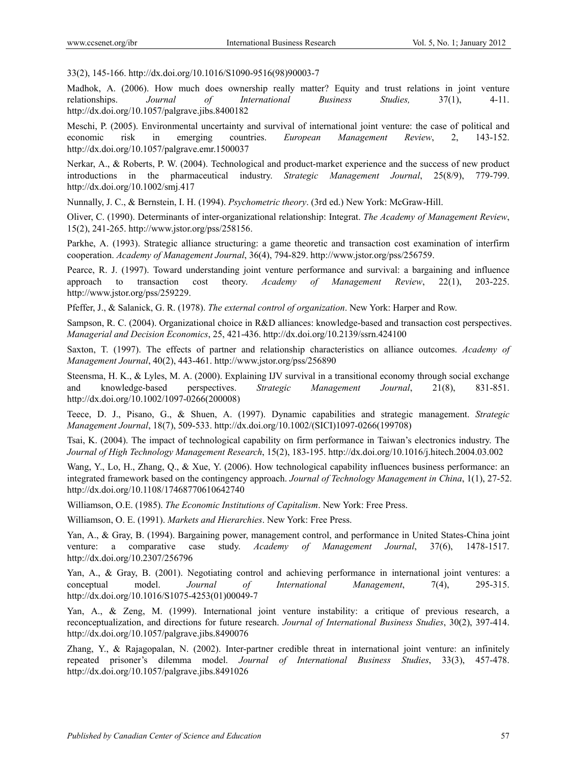33(2), 145-166. http://dx.doi.org/10.1016/S1090-9516(98)90003-7

Madhok, A. (2006). How much does ownership really matter? Equity and trust relations in joint venture relationships. *Journal of International Business Studies,* 37(1), 4-11. http://dx.doi.org/10.1057/palgrave.jibs.8400182

Meschi, P. (2005). Environmental uncertainty and survival of international joint venture: the case of political and economic risk in emerging countries. *European Management Review*, 2, 143-152. http://dx.doi.org/10.1057/palgrave.emr.1500037

Nerkar, A., & Roberts, P. W. (2004). Technological and product-market experience and the success of new product introductions in the pharmaceutical industry. *Strategic Management Journal*, 25(8/9), 779-799. http://dx.doi.org/10.1002/smj.417

Nunnally, J. C., & Bernstein, I. H. (1994). *Psychometric theory*. (3rd ed.) New York: McGraw-Hill.

Oliver, C. (1990). Determinants of inter-organizational relationship: Integrat. *The Academy of Management Review*, 15(2), 241-265. http://www.jstor.org/pss/258156.

Parkhe, A. (1993). Strategic alliance structuring: a game theoretic and transaction cost examination of interfirm cooperation. *Academy of Management Journal*, 36(4), 794-829. http://www.jstor.org/pss/256759.

Pearce, R. J. (1997). Toward understanding joint venture performance and survival: a bargaining and influence approach to transaction cost theory. *Academy of Management Review*, 22(1), 203-225. http://www.jstor.org/pss/259229.

Pfeffer, J., & Salanick, G. R. (1978). *The external control of organization*. New York: Harper and Row.

Sampson, R. C. (2004). Organizational choice in R&D alliances: knowledge-based and transaction cost perspectives. *Managerial and Decision Economics*, 25, 421-436. http://dx.doi.org/10.2139/ssrn.424100

Saxton, T. (1997). The effects of partner and relationship characteristics on alliance outcomes. *Academy of Management Journal*, 40(2), 443-461. http://www.jstor.org/pss/256890

Steensma, H. K., & Lyles, M. A. (2000). Explaining IJV survival in a transitional economy through social exchange and knowledge-based perspectives. *Strategic Management Journal*, 21(8), 831-851. http://dx.doi.org/10.1002/1097-0266(200008)

Teece, D. J., Pisano, G., & Shuen, A. (1997). Dynamic capabilities and strategic management. *Strategic Management Journal*, 18(7), 509-533. http://dx.doi.org/10.1002/(SICI)1097-0266(199708)

Tsai, K. (2004). The impact of technological capability on firm performance in Taiwan's electronics industry. The *Journal of High Technology Management Research*, 15(2), 183-195. http://dx.doi.org/10.1016/j.hitech.2004.03.002

Wang, Y., Lo, H., Zhang, Q., & Xue, Y. (2006). How technological capability influences business performance: an integrated framework based on the contingency approach. *Journal of Technology Management in China*, 1(1), 27-52. http://dx.doi.org/10.1108/17468770610642740

Williamson, O.E. (1985). *The Economic Institutions of Capitalism*. New York: Free Press.

Williamson, O. E. (1991). *Markets and Hierarchies*. New York: Free Press.

Yan, A., & Gray, B. (1994). Bargaining power, management control, and performance in United States-China joint venture: a comparative case study. *Academy of Management Journal*, 37(6), 1478-1517. http://dx.doi.org/10.2307/256796

Yan, A., & Gray, B. (2001). Negotiating control and achieving performance in international joint ventures: a conceptual model. *Journal of International Management*, 7(4), 295-315. http://dx.doi.org/10.1016/S1075-4253(01)00049-7

Yan, A., & Zeng, M. (1999). International joint venture instability: a critique of previous research, a reconceptualization, and directions for future research. *Journal of International Business Studies*, 30(2), 397-414. http://dx.doi.org/10.1057/palgrave.jibs.8490076

Zhang, Y., & Rajagopalan, N. (2002). Inter-partner credible threat in international joint venture: an infinitely repeated prisoner's dilemma model. *Journal of International Business Studies*, 33(3), 457-478. http://dx.doi.org/10.1057/palgrave.jibs.8491026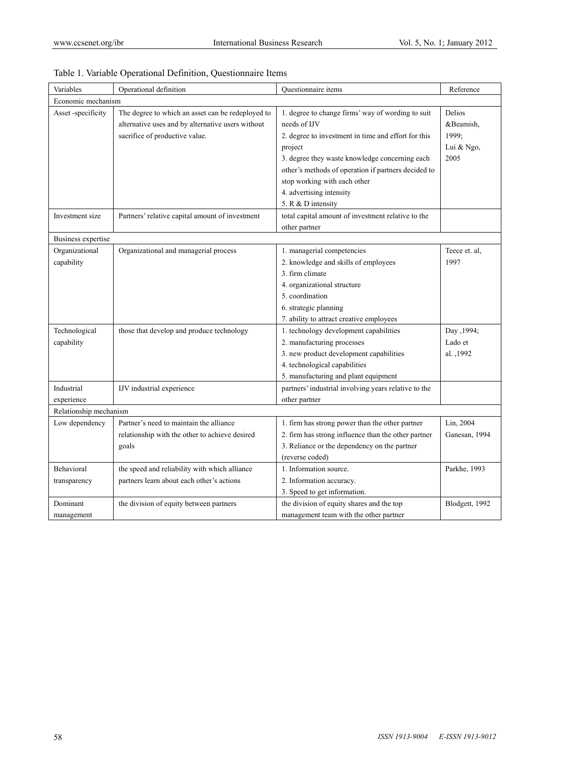| Variables              | Operational definition                            | Ouestionnaire items                                  | Reference      |
|------------------------|---------------------------------------------------|------------------------------------------------------|----------------|
| Economic mechanism     |                                                   |                                                      |                |
| Asset -specificity     | The degree to which an asset can be redeployed to | 1. degree to change firms' way of wording to suit    | Delios         |
|                        | alternative uses and by alternative users without | needs of IJV                                         | &Beamish.      |
|                        | sacrifice of productive value.                    | 2. degree to investment in time and effort for this  | 1999;          |
|                        |                                                   | project                                              | Lui & Ngo,     |
|                        |                                                   | 3. degree they waste knowledge concerning each       | 2005           |
|                        |                                                   | other's methods of operation if partners decided to  |                |
|                        |                                                   | stop working with each other                         |                |
|                        |                                                   | 4. advertising intensity                             |                |
|                        |                                                   | 5. R & D intensity                                   |                |
| Investment size        | Partners' relative capital amount of investment   | total capital amount of investment relative to the   |                |
|                        |                                                   | other partner                                        |                |
| Business expertise     |                                                   |                                                      |                |
| Organizational         | Organizational and managerial process             | 1. managerial competencies                           | Teece et. al.  |
| capability             |                                                   | 2. knowledge and skills of employees                 | 1997           |
|                        |                                                   | 3. firm climate                                      |                |
|                        |                                                   | 4. organizational structure                          |                |
|                        |                                                   | 5. coordination                                      |                |
|                        |                                                   | 6. strategic planning                                |                |
|                        |                                                   | 7. ability to attract creative employees             |                |
| Technological          | those that develop and produce technology         | 1. technology development capabilities               | Day .1994:     |
| capability             |                                                   | 2. manufacturing processes                           | Lado et        |
|                        |                                                   | 3. new product development capabilities              | al., 1992      |
|                        |                                                   | 4. technological capabilities                        |                |
|                        |                                                   | 5. manufacturing and plant equipment                 |                |
| Industrial             | IJV industrial experience                         | partners' industrial involving years relative to the |                |
| experience             |                                                   | other partner                                        |                |
| Relationship mechanism |                                                   |                                                      |                |
| Low dependency         | Partner's need to maintain the alliance           | 1. firm has strong power than the other partner      | Lin, 2004      |
|                        | relationship with the other to achieve desired    | 2. firm has strong influence than the other partner  | Ganesan, 1994  |
|                        | goals                                             | 3. Reliance or the dependency on the partner         |                |
|                        |                                                   | (reverse coded)                                      |                |
| Behavioral             | the speed and reliability with which alliance     | 1. Information source.                               | Parkhe, 1993   |
| transparency           | partners learn about each other's actions         | 2. Information accuracy.                             |                |
|                        |                                                   | 3. Speed to get information.                         |                |
| Dominant               | the division of equity between partners           | the division of equity shares and the top            | Blodgett, 1992 |
| management             |                                                   | management team with the other partner               |                |

|  | Table 1. Variable Operational Definition, Questionnaire Items |  |
|--|---------------------------------------------------------------|--|
|--|---------------------------------------------------------------|--|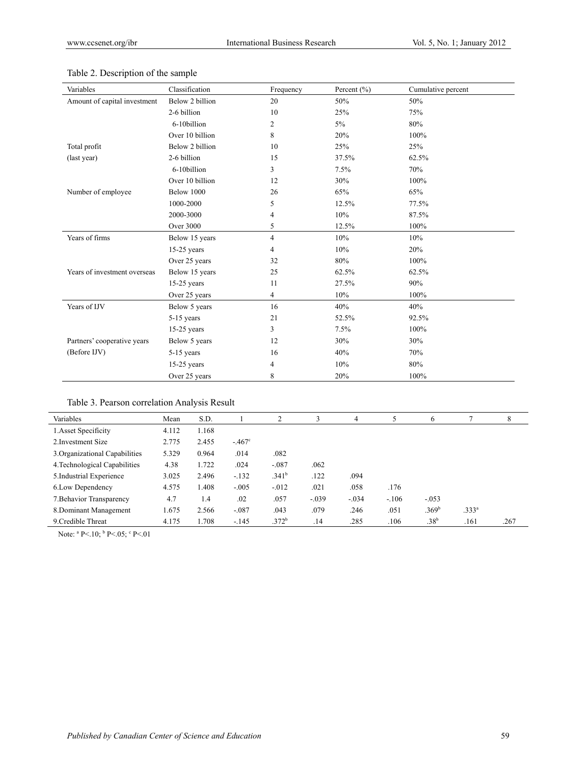| Variables                    | Classification   | Frequency | Percent $(\% )$ | Cumulative percent |
|------------------------------|------------------|-----------|-----------------|--------------------|
| Amount of capital investment | Below 2 billion  | 20        | 50%             | 50%                |
|                              | 2-6 billion      | 10        | 25%             | 75%                |
|                              | 6-10billion      | 2         | $5\%$           | 80%                |
|                              | Over 10 billion  | 8         | 20%             | 100%               |
| Total profit                 | Below 2 billion  | 10        | 25%             | 25%                |
| (last year)                  | 2-6 billion      | 15        | 37.5%           | 62.5%              |
|                              | 6-10billion      | 3         | 7.5%            | 70%                |
|                              | Over 10 billion  | 12        | 30%             | 100%               |
| Number of employee           | Below 1000       | 26        | 65%             | 65%                |
|                              | 1000-2000        | 5         | 12.5%           | 77.5%              |
|                              | 2000-3000        | 4         | 10%             | 87.5%              |
|                              | <b>Over 3000</b> | 5         | 12.5%           | 100%               |
| Years of firms               | Below 15 years   | 4         | 10%             | 10%                |
|                              | $15-25$ years    | 4         | 10%             | 20%                |
|                              | Over 25 years    | 32        | 80%             | 100%               |
| Years of investment overseas | Below 15 years   | 25        | 62.5%           | 62.5%              |
|                              | $15-25$ years    | 11        | 27.5%           | 90%                |
|                              | Over 25 years    | 4         | 10%             | 100%               |
| Years of IJV                 | Below 5 years    | 16        | 40%             | 40%                |
|                              | 5-15 years       | 21        | 52.5%           | 92.5%              |
|                              | $15-25$ years    | 3         | 7.5%            | 100%               |
| Partners' cooperative years  | Below 5 years    | 12        | 30%             | 30%                |
| (Before IJV)                 | $5-15$ years     | 16        | 40%             | 70%                |
|                              | $15-25$ years    | 4         | 10%             | 80%                |
|                              | Over 25 years    | 8         | 20%             | 100%               |

## Table 2. Description of the sample

Table 3. Pearson correlation Analysis Result

| Variables                      | Mean  | S.D.  |                |                   | 3       | 4       | 5       | 6                 |                   | 8    |
|--------------------------------|-------|-------|----------------|-------------------|---------|---------|---------|-------------------|-------------------|------|
| 1. Asset Specificity           | 4.112 | 1.168 |                |                   |         |         |         |                   |                   |      |
| 2. Investment Size             | 2.775 | 2.455 | $-467^{\circ}$ |                   |         |         |         |                   |                   |      |
| 3. Organizational Capabilities | 5.329 | 0.964 | .014           | .082              |         |         |         |                   |                   |      |
| 4. Technological Capabilities  | 4.38  | 1.722 | .024           | $-.087$           | .062    |         |         |                   |                   |      |
| 5.Industrial Experience        | 3.025 | 2.496 | $-.132$        | .341 <sup>b</sup> | .122    | .094    |         |                   |                   |      |
| 6. Low Dependency              | 4.575 | 1.408 | $-.005$        | $-.012$           | .021    | .058    | .176    |                   |                   |      |
| 7. Behavior Transparency       | 4.7   | 1.4   | .02            | .057              | $-.039$ | $-.034$ | $-.106$ | $-.053$           |                   |      |
| 8. Dominant Management         | 1.675 | 2.566 | $-.087$        | .043              | .079    | .246    | .051    | .369 <sup>b</sup> | .333 <sup>a</sup> |      |
| 9. Credible Threat             | 4.175 | 1.708 | $-.145$        | $.372^b$          | .14     | .285    | .106    | .38 <sup>b</sup>  | .161              | .267 |

Note:  $\degree$  P<.10;  $\degree$  P<.05;  $\degree$  P<.01